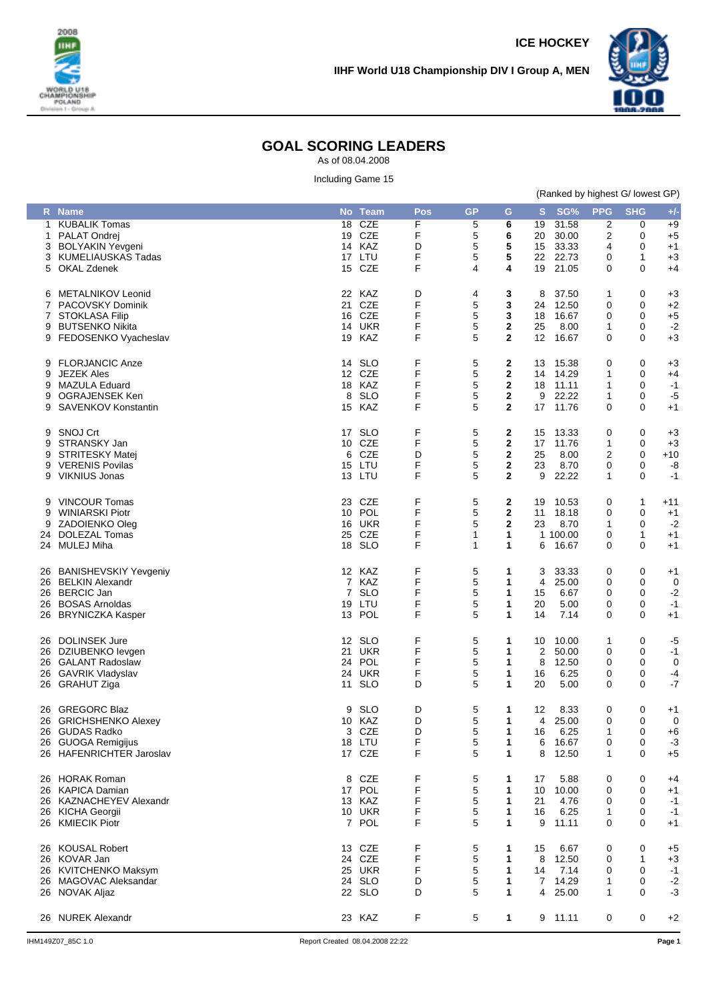



## **GOAL SCORING LEADERS**

As of 08.04.2008

Including Game 15

| (Ranked by highest G/ lowest GP) |  |  |  |
|----------------------------------|--|--|--|
|                                  |  |  |  |

|             | R Name                                                                                                       |                | No Team                                             | Pos                   | <b>GP</b>             | G                                                                 | S                         | SG%                                         | <b>PPG</b>            | <b>SHG</b>                      | $+/-$                                 |
|-------------|--------------------------------------------------------------------------------------------------------------|----------------|-----------------------------------------------------|-----------------------|-----------------------|-------------------------------------------------------------------|---------------------------|---------------------------------------------|-----------------------|---------------------------------|---------------------------------------|
|             | 1 KUBALIK Tomas<br>1 PALAT Ondrej<br>3 BOLYAKIN Yevgeni<br>3 KUMELIAUSKAS Tadas                              | 18             | <b>CZE</b><br>19 CZE<br>14 KAZ<br>17 LTU            | F<br>F<br>D<br>F      | 5<br>5<br>5<br>5      | 6<br>6<br>5<br>5                                                  | 19<br>20<br>15<br>22      | 31.58<br>30.00<br>33.33<br>22.73            | 2<br>2<br>4<br>0      | 0<br>0<br>0<br>1                | $+9$<br>$+5$<br>$+1$<br>$+3$          |
|             | 5 OKAL Zdenek<br>6 METALNIKOV Leonid                                                                         | 15             | CZE<br>22 KAZ                                       | F<br>D                | 4<br>4                | 4<br>3                                                            | 19<br>8                   | 21.05<br>37.50                              | 0<br>1                | 0<br>0                          | +4<br>$+3$                            |
| 9           | 7 PACOVSKY Dominik<br>7 STOKLASA Filip<br><b>BUTSENKO Nikita</b><br>9 FEDOSENKO Vyacheslav                   |                | 21 CZE<br>16 CZE<br><b>14 UKR</b><br>19 KAZ         | F<br>F<br>F<br>F      | 5<br>5<br>5<br>5      | 3<br>3<br>$\mathbf 2$<br>$\mathbf{2}$                             | 24<br>18<br>25<br>12      | 12.50<br>16.67<br>8.00<br>16.67             | 0<br>0<br>1<br>0      | 0<br>0<br>0<br>0                | $+2$<br>$+5$<br>$-2$<br>$+3$          |
| 9<br>9<br>9 | 9 FLORJANCIC Anze<br><b>JEZEK Ales</b><br>MAZULA Eduard<br>OGRAJENSEK Ken<br>9 SAVENKOV Konstantin           | 14<br>8<br>15  | <b>SLO</b><br>12 CZE<br>18 KAZ<br><b>SLO</b><br>KAZ | F<br>F<br>F<br>F<br>F | 5<br>5<br>5<br>5<br>5 | 2<br>$\mathbf{2}$<br>$\mathbf{2}$<br>$\mathbf{2}$<br>$\mathbf{2}$ | 13<br>14<br>18<br>9<br>17 | 15.38<br>14.29<br>11.11<br>22.22<br>11.76   | 0<br>1<br>1<br>1<br>0 | 0<br>0<br>0<br>0<br>0           | $+3$<br>$+4$<br>$-1$<br>$-5$<br>+1    |
| 9<br>9      | 9 SNOJ Crt<br>STRANSKY Jan<br><b>STRITESKY Matej</b><br>9 VERENIS Povilas<br>9 VIKNIUS Jonas                 | 6              | 17 SLO<br>10 CZE<br>CZE<br>15 LTU<br>13 LTU         | F<br>F<br>D<br>F<br>F | 5<br>5<br>5<br>5<br>5 | 2<br>$\mathbf{2}$<br>$\mathbf{2}$<br>$\mathbf{2}$<br>$\mathbf{2}$ | 15<br>17<br>25<br>23<br>9 | 13.33<br>11.76<br>8.00<br>8.70<br>22.22     | 0<br>1<br>2<br>0<br>1 | 0<br>0<br>$\mathbf 0$<br>0<br>0 | $+3$<br>$+3$<br>$+10$<br>-8<br>$-1$   |
| 9<br>9      | 9 VINCOUR Tomas<br><b>WINIARSKI Piotr</b><br>ZADOIENKO Oleg<br>24 DOLEZAL Tomas<br>24 MULEJ Miha             | 23<br>10<br>25 | CZE<br>POL<br><b>16 UKR</b><br>CZE<br>18 SLO        | F<br>F<br>F<br>F<br>F | 5<br>5<br>5<br>1<br>1 | 2<br>$\mathbf{2}$<br>$\mathbf 2$<br>1<br>1                        | 19<br>11<br>23<br>6       | 10.53<br>18.18<br>8.70<br>1 100.00<br>16.67 | 0<br>0<br>1<br>0<br>0 | 1<br>0<br>0<br>1<br>0           | $+11$<br>$+1$<br>$-2$<br>$+1$<br>$+1$ |
|             | 26 BANISHEVSKIY Yevgeniy<br>26 BELKIN Alexandr<br>26 BERCIC Jan<br>26 BOSAS Arnoldas<br>26 BRYNICZKA Kasper  | 19             | 12 KAZ<br>7 KAZ<br>7 SLO<br>LTU<br>13 POL           | F<br>F<br>F<br>F<br>F | 5<br>5<br>5<br>5<br>5 | 1<br>1<br>1<br>1<br>1                                             | 3<br>4<br>15<br>20<br>14  | 33.33<br>25.00<br>6.67<br>5.00<br>7.14      | 0<br>0<br>0<br>0<br>0 | 0<br>0<br>0<br>0<br>0           | $+1$<br>0<br>$-2$<br>$-1$<br>$+1$     |
|             | 26 DOLINSEK Jure<br>26 DZIUBENKO levgen<br>26 GALANT Radoslaw<br>26 GAVRIK Vladyslav<br>26 GRAHUT Ziga       | 11             | 12 SLO<br>21 UKR<br>24 POL<br>24 UKR<br><b>SLO</b>  | F<br>F<br>F<br>F<br>D | 5<br>5<br>5<br>5<br>5 | 1<br>1<br>1<br>1<br>1                                             | 10<br>2<br>8<br>16<br>20  | 10.00<br>50.00<br>12.50<br>6.25<br>5.00     | 1<br>0<br>0<br>0<br>0 | 0<br>0<br>0<br>0<br>0           | $-5$<br>$-1$<br>0<br>$-4$<br>$-7$     |
|             | 26 GREGORC Blaz<br>26 GRICHSHENKO Alexey<br>26 GUDAS Radko<br>26 GUOGA Remigijus<br>26 HAFENRICHTER Jaroslav | 9              | SLO<br>10 KAZ<br>3 CZE<br>18 LTU<br>17 CZE          | D<br>D<br>D<br>F<br>F | 5<br>5<br>5<br>5<br>5 | 1<br>1<br>1<br>1<br>1                                             | 12<br>4<br>16<br>6<br>8   | 8.33<br>25.00<br>6.25<br>16.67<br>12.50     | 0<br>0<br>1<br>0<br>1 | 0<br>0<br>$\Omega$<br>0<br>0    | $+1$<br>0<br>$+6$<br>$-3$<br>$+5$     |
|             | 26 HORAK Roman<br>26 KAPICA Damian<br>26 KAZNACHEYEV Alexandr<br>26 KICHA Georgii<br>26 KMIECIK Piotr        |                | 8 CZE<br>17 POL<br>13 KAZ<br><b>10 UKR</b><br>7 POL | F<br>F<br>F<br>F<br>F | 5<br>5<br>5<br>5<br>5 | 1<br>1<br>1<br>1<br>1                                             | 17<br>10<br>21<br>16<br>9 | 5.88<br>10.00<br>4.76<br>6.25<br>11.11      | 0<br>0<br>0<br>1<br>0 | 0<br>0<br>0<br>0<br>0           | +4<br>$+1$<br>-1<br>$-1$<br>+1        |
|             | 26 KOUSAL Robert<br>26 KOVAR Jan<br>26 KVITCHENKO Maksym<br>26 MAGOVAC Aleksandar<br>26 NOVAK Aljaz          |                | 13 CZE<br>24 CZE<br>25 UKR<br>24 SLO<br>22 SLO      | F<br>F<br>F<br>D<br>D | 5<br>5<br>5<br>5<br>5 | 1<br>1<br>1<br>1<br>1                                             | 15<br>8<br>14<br>7<br>4   | 6.67<br>12.50<br>7.14<br>14.29<br>25.00     | 0<br>0<br>0<br>1<br>1 | 0<br>1<br>0<br>0<br>0           | $+5$<br>+3<br>$-1$<br>$-2$<br>$-3$    |
|             | 26 NUREK Alexandr                                                                                            |                | 23 KAZ                                              | F                     | 5                     | 1                                                                 |                           | 9 11.11                                     | 0                     | 0                               | $+2$                                  |